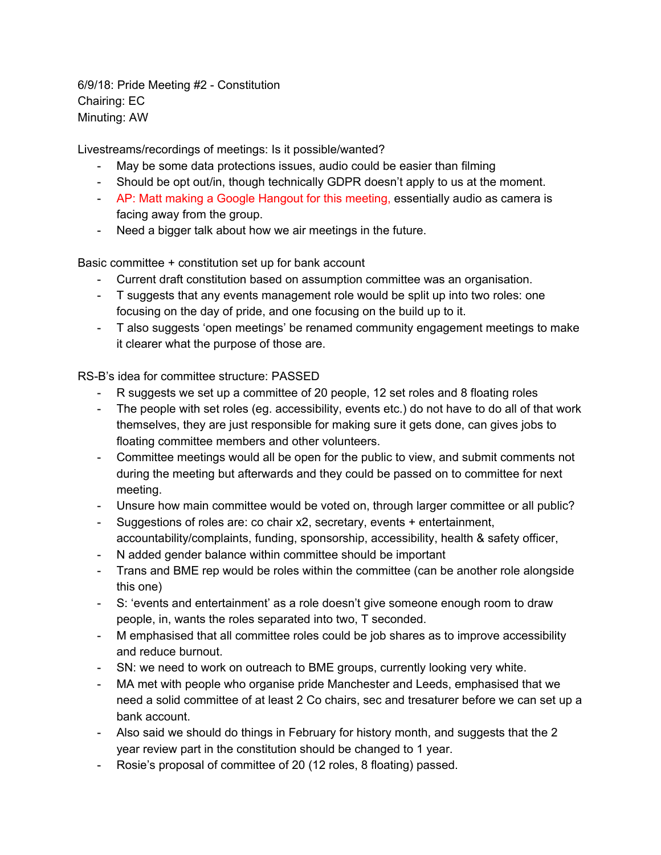6/9/18: Pride Meeting #2 - Constitution Chairing: EC Minuting: AW

Livestreams/recordings of meetings: Is it possible/wanted?

- May be some data protections issues, audio could be easier than filming
- Should be opt out/in, though technically GDPR doesn't apply to us at the moment.
- AP: Matt making a Google Hangout for this meeting, essentially audio as camera is facing away from the group.
- Need a bigger talk about how we air meetings in the future.

Basic committee + constitution set up for bank account

- Current draft constitution based on assumption committee was an organisation.
- T suggests that any events management role would be split up into two roles: one focusing on the day of pride, and one focusing on the build up to it.
- T also suggests 'open meetings' be renamed community engagement meetings to make it clearer what the purpose of those are.

RS-B's idea for committee structure: PASSED

- R suggests we set up a committee of 20 people, 12 set roles and 8 floating roles
- The people with set roles (eg. accessibility, events etc.) do not have to do all of that work themselves, they are just responsible for making sure it gets done, can gives jobs to floating committee members and other volunteers.
- Committee meetings would all be open for the public to view, and submit comments not during the meeting but afterwards and they could be passed on to committee for next meeting.
- Unsure how main committee would be voted on, through larger committee or all public?
- Suggestions of roles are: co chair x2, secretary, events + entertainment, accountability/complaints, funding, sponsorship, accessibility, health & safety officer,
- N added gender balance within committee should be important
- Trans and BME rep would be roles within the committee (can be another role alongside this one)
- S: 'events and entertainment' as a role doesn't give someone enough room to draw people, in, wants the roles separated into two, T seconded.
- M emphasised that all committee roles could be job shares as to improve accessibility and reduce burnout.
- SN: we need to work on outreach to BME groups, currently looking very white.
- MA met with people who organise pride Manchester and Leeds, emphasised that we need a solid committee of at least 2 Co chairs, sec and tresaturer before we can set up a bank account.
- Also said we should do things in February for history month, and suggests that the 2 year review part in the constitution should be changed to 1 year.
- Rosie's proposal of committee of 20 (12 roles, 8 floating) passed.